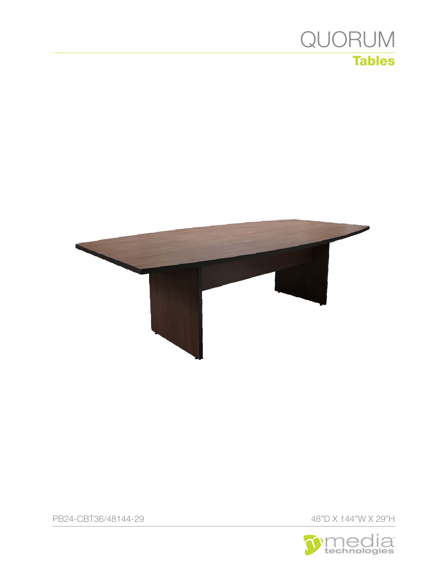

PB24-CBT36/48144-29 48"D X 144"W X 29"H